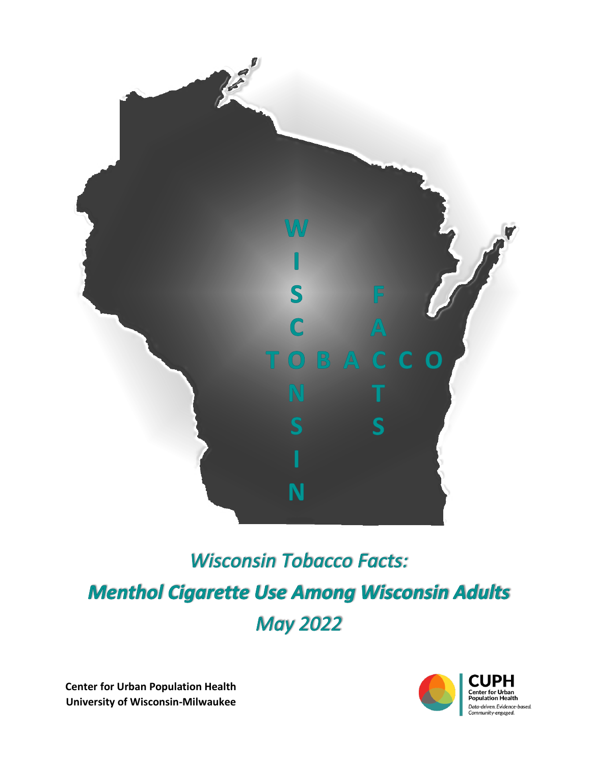

# **Wisconsin Tobacco Facts: Menthol Cigarette Use Among Wisconsin Adults May 2022**

**Center for Urban Population Health University of Wisconsin-Milwaukee**

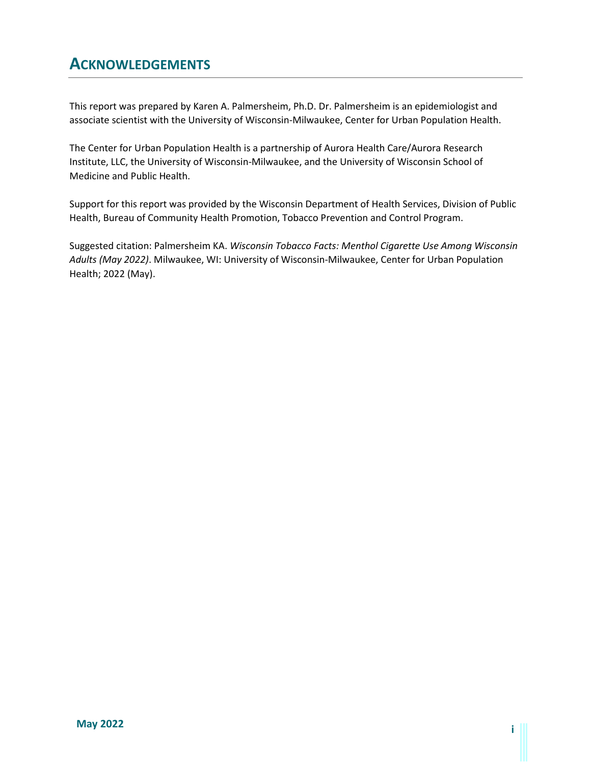## **ACKNOWLEDGEMENTS**

This report was prepared by Karen A. Palmersheim, Ph.D. Dr. Palmersheim is an epidemiologist and associate scientist with the University of Wisconsin-Milwaukee, Center for Urban Population Health.

The Center for Urban Population Health is a partnership of Aurora Health Care/Aurora Research Institute, LLC, the University of Wisconsin-Milwaukee, and the University of Wisconsin School of Medicine and Public Health.

Support for this report was provided by the Wisconsin Department of Health Services, Division of Public Health, Bureau of Community Health Promotion, Tobacco Prevention and Control Program.

Suggested citation: Palmersheim KA. *Wisconsin Tobacco Facts: Menthol Cigarette Use Among Wisconsin Adults (May 2022)*. Milwaukee, WI: University of Wisconsin-Milwaukee, Center for Urban Population Health; 2022 (May).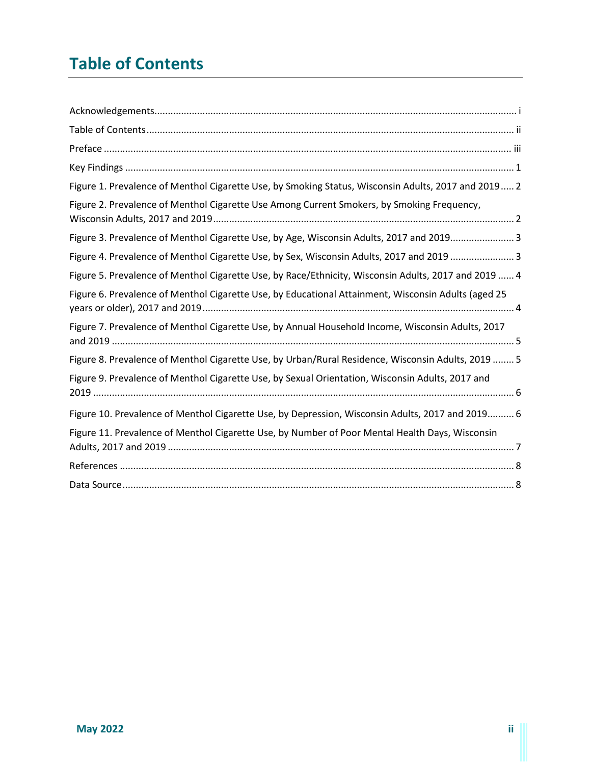## **Table of Contents**

| Figure 1. Prevalence of Menthol Cigarette Use, by Smoking Status, Wisconsin Adults, 2017 and 2019 2  |
|------------------------------------------------------------------------------------------------------|
| Figure 2. Prevalence of Menthol Cigarette Use Among Current Smokers, by Smoking Frequency,           |
| Figure 3. Prevalence of Menthol Cigarette Use, by Age, Wisconsin Adults, 2017 and 20193              |
| Figure 4. Prevalence of Menthol Cigarette Use, by Sex, Wisconsin Adults, 2017 and 2019  3            |
| Figure 5. Prevalence of Menthol Cigarette Use, by Race/Ethnicity, Wisconsin Adults, 2017 and 2019  4 |
| Figure 6. Prevalence of Menthol Cigarette Use, by Educational Attainment, Wisconsin Adults (aged 25  |
| Figure 7. Prevalence of Menthol Cigarette Use, by Annual Household Income, Wisconsin Adults, 2017    |
| Figure 8. Prevalence of Menthol Cigarette Use, by Urban/Rural Residence, Wisconsin Adults, 2019  5   |
| Figure 9. Prevalence of Menthol Cigarette Use, by Sexual Orientation, Wisconsin Adults, 2017 and     |
| Figure 10. Prevalence of Menthol Cigarette Use, by Depression, Wisconsin Adults, 2017 and 2019 6     |
| Figure 11. Prevalence of Menthol Cigarette Use, by Number of Poor Mental Health Days, Wisconsin      |
|                                                                                                      |
|                                                                                                      |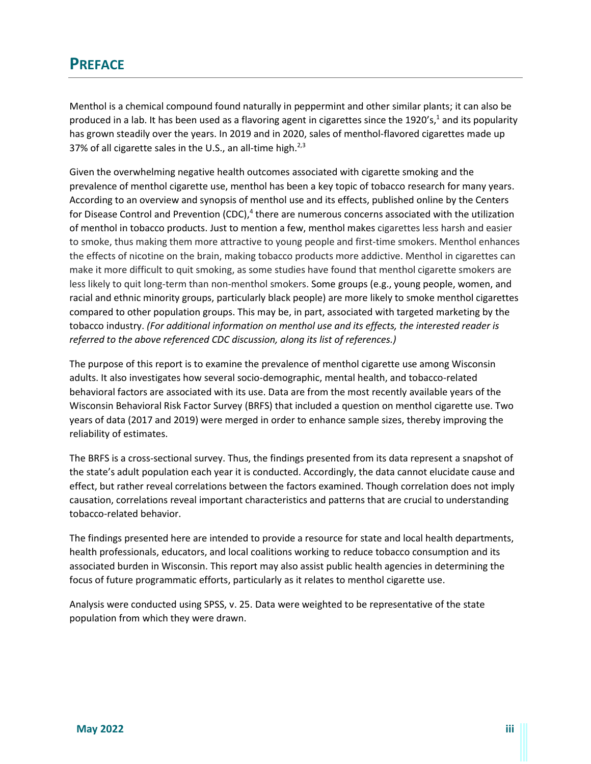## **PREFACE**

Menthol is a chemical compound found naturally in peppermint and other similar plants; it can also be produced in a lab. It has been used as a flavoring agent in cigarettes since the 1920's, <sup>1</sup> and its popularity has grown steadily over the years. In 2019 and in 2020, sales of menthol-flavored cigarettes made up 37% of all cigarette sales in the U.S., an all-time high. $2.3$ 

Given the overwhelming negative health outcomes associated with cigarette smoking and the prevalence of menthol cigarette use, menthol has been a key topic of tobacco research for many years. According to an overview and synopsis of menthol use and its effects, published online by the Centers for Disease Control and Prevention (CDC),<sup>4</sup> there are numerous concerns associated with the utilization of menthol in tobacco products. Just to mention a few, menthol makes cigarettes less harsh and easier to smoke, thus making them more attractive to young people and first-time smokers. Menthol enhances the effects of nicotine on the brain, making tobacco products more addictive. Menthol in cigarettes can make it more difficult to quit smoking, as some studies have found that menthol cigarette smokers are less likely to quit long-term than non-menthol smokers. Some groups (e.g., young people, women, and racial and ethnic minority groups, particularly black people) are more likely to smoke menthol cigarettes compared to other population groups. This may be, in part, associated with targeted marketing by the tobacco industry. *(For additional information on menthol use and its effects, the interested reader is referred to the above referenced CDC discussion, along its list of references.)*

The purpose of this report is to examine the prevalence of menthol cigarette use among Wisconsin adults. It also investigates how several socio-demographic, mental health, and tobacco-related behavioral factors are associated with its use. Data are from the most recently available years of the Wisconsin Behavioral Risk Factor Survey (BRFS) that included a question on menthol cigarette use. Two years of data (2017 and 2019) were merged in order to enhance sample sizes, thereby improving the reliability of estimates.

The BRFS is a cross-sectional survey. Thus, the findings presented from its data represent a snapshot of the state's adult population each year it is conducted. Accordingly, the data cannot elucidate cause and effect, but rather reveal correlations between the factors examined. Though correlation does not imply causation, correlations reveal important characteristics and patterns that are crucial to understanding tobacco-related behavior.

The findings presented here are intended to provide a resource for state and local health departments, health professionals, educators, and local coalitions working to reduce tobacco consumption and its associated burden in Wisconsin. This report may also assist public health agencies in determining the focus of future programmatic efforts, particularly as it relates to menthol cigarette use.

Analysis were conducted using SPSS, v. 25. Data were weighted to be representative of the state population from which they were drawn.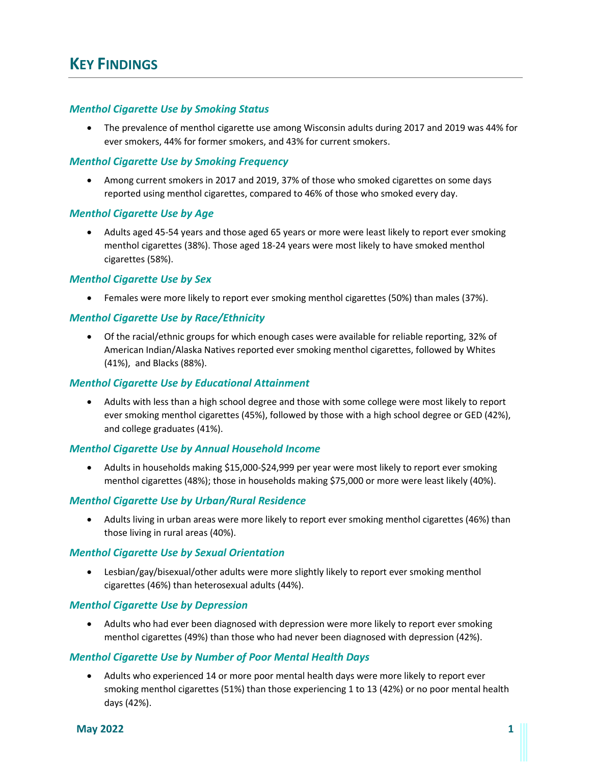#### *Menthol Cigarette Use by Smoking Status*

• The prevalence of menthol cigarette use among Wisconsin adults during 2017 and 2019 was 44% for ever smokers, 44% for former smokers, and 43% for current smokers.

#### *Menthol Cigarette Use by Smoking Frequency*

• Among current smokers in 2017 and 2019, 37% of those who smoked cigarettes on some days reported using menthol cigarettes, compared to 46% of those who smoked every day.

#### *Menthol Cigarette Use by Age*

• Adults aged 45-54 years and those aged 65 years or more were least likely to report ever smoking menthol cigarettes (38%). Those aged 18-24 years were most likely to have smoked menthol cigarettes (58%).

#### *Menthol Cigarette Use by Sex*

• Females were more likely to report ever smoking menthol cigarettes (50%) than males (37%).

#### *Menthol Cigarette Use by Race/Ethnicity*

• Of the racial/ethnic groups for which enough cases were available for reliable reporting, 32% of American Indian/Alaska Natives reported ever smoking menthol cigarettes, followed by Whites (41%), and Blacks (88%).

#### *Menthol Cigarette Use by Educational Attainment*

• Adults with less than a high school degree and those with some college were most likely to report ever smoking menthol cigarettes (45%), followed by those with a high school degree or GED (42%), and college graduates (41%).

#### *Menthol Cigarette Use by Annual Household Income*

• Adults in households making \$15,000-\$24,999 per year were most likely to report ever smoking menthol cigarettes (48%); those in households making \$75,000 or more were least likely (40%).

#### *Menthol Cigarette Use by Urban/Rural Residence*

• Adults living in urban areas were more likely to report ever smoking menthol cigarettes (46%) than those living in rural areas (40%).

#### *Menthol Cigarette Use by Sexual Orientation*

• Lesbian/gay/bisexual/other adults were more slightly likely to report ever smoking menthol cigarettes (46%) than heterosexual adults (44%).

#### *Menthol Cigarette Use by Depression*

• Adults who had ever been diagnosed with depression were more likely to report ever smoking menthol cigarettes (49%) than those who had never been diagnosed with depression (42%).

#### *Menthol Cigarette Use by Number of Poor Mental Health Days*

• Adults who experienced 14 or more poor mental health days were more likely to report ever smoking menthol cigarettes (51%) than those experiencing 1 to 13 (42%) or no poor mental health days (42%).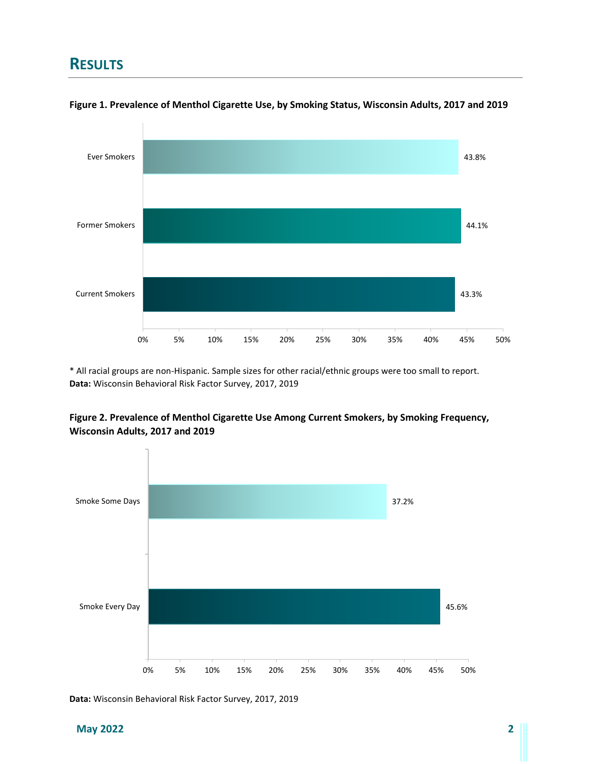### **RESULTS**



**Figure 1. Prevalence of Menthol Cigarette Use, by Smoking Status, Wisconsin Adults, 2017 and 2019**

\* All racial groups are non-Hispanic. Sample sizes for other racial/ethnic groups were too small to report. **Data:** Wisconsin Behavioral Risk Factor Survey, 2017, 2019



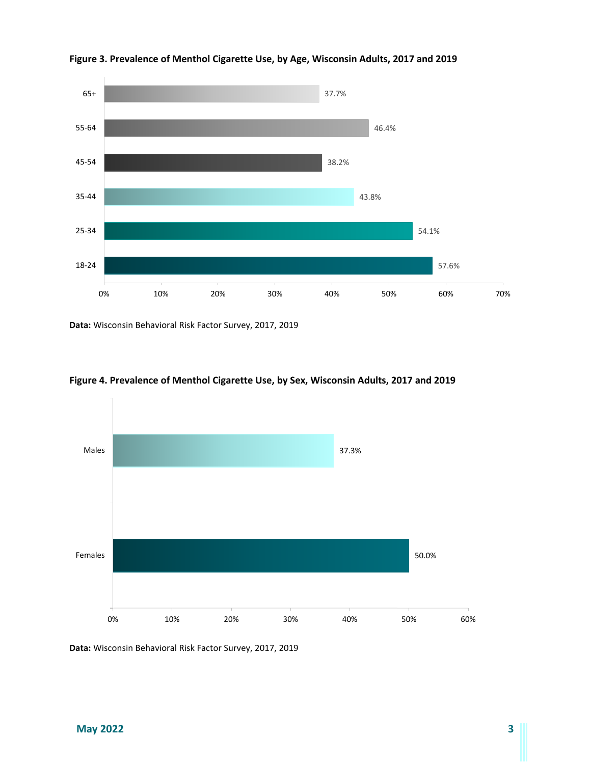



**Data:** Wisconsin Behavioral Risk Factor Survey, 2017, 2019



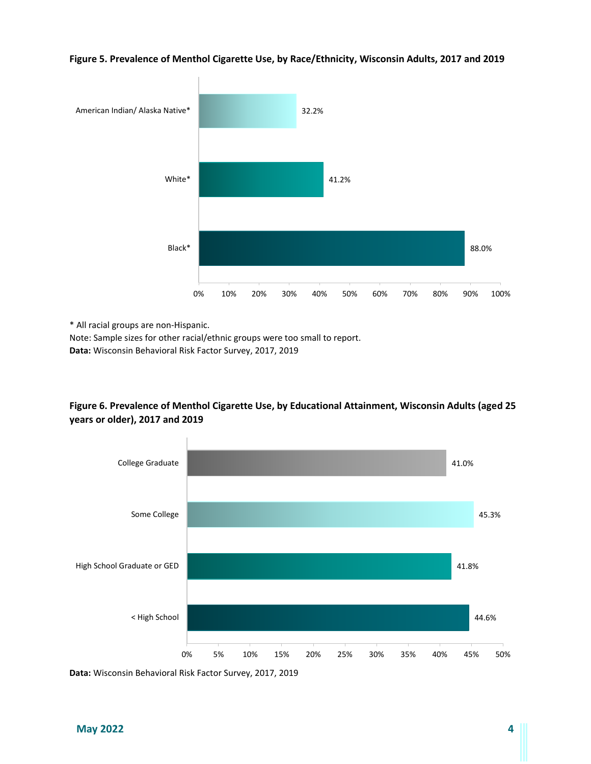

**Figure 5. Prevalence of Menthol Cigarette Use, by Race/Ethnicity, Wisconsin Adults, 2017 and 2019**

\* All racial groups are non-Hispanic.

Note: Sample sizes for other racial/ethnic groups were too small to report.

**Data:** Wisconsin Behavioral Risk Factor Survey, 2017, 2019

#### **Figure 6. Prevalence of Menthol Cigarette Use, by Educational Attainment, Wisconsin Adults (aged 25 years or older), 2017 and 2019**

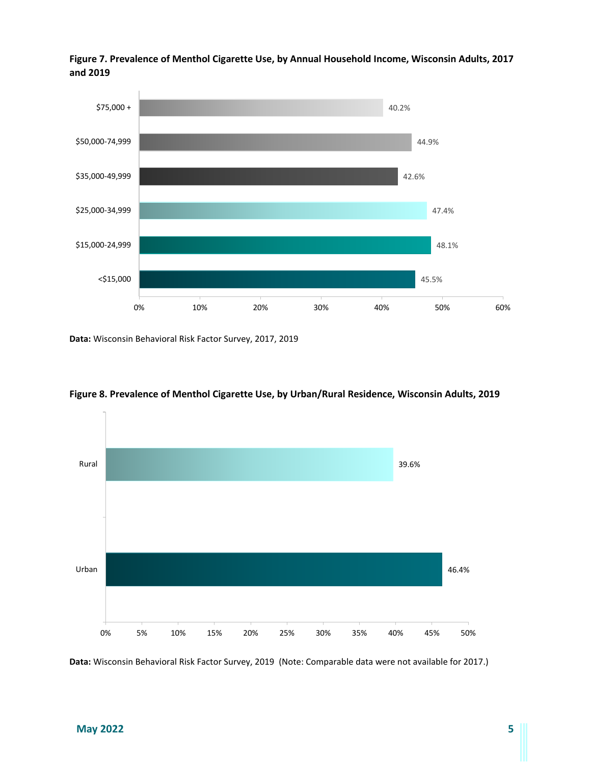

**Figure 7. Prevalence of Menthol Cigarette Use, by Annual Household Income, Wisconsin Adults, 2017 and 2019**

**Data:** Wisconsin Behavioral Risk Factor Survey, 2017, 2019



**Figure 8. Prevalence of Menthol Cigarette Use, by Urban/Rural Residence, Wisconsin Adults, 2019**

**Data:** Wisconsin Behavioral Risk Factor Survey, 2019 (Note: Comparable data were not available for 2017.)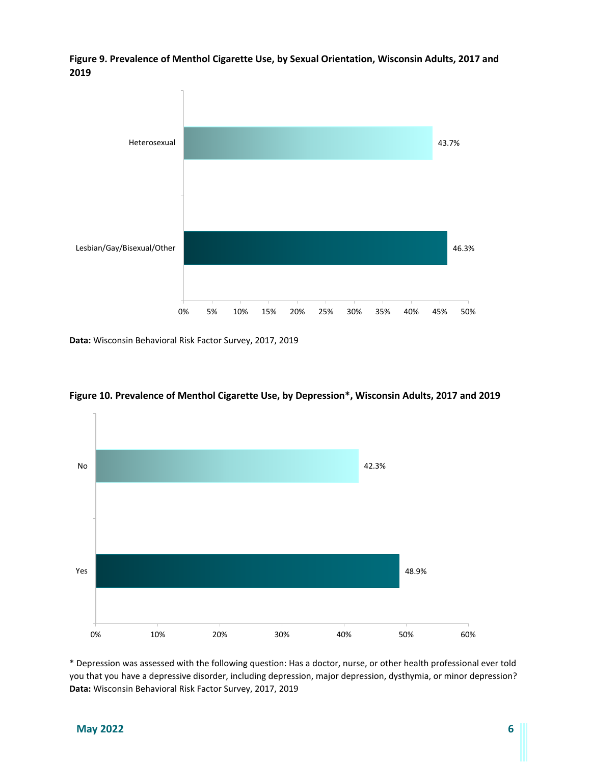**Figure 9. Prevalence of Menthol Cigarette Use, by Sexual Orientation, Wisconsin Adults, 2017 and 2019**



**Data:** Wisconsin Behavioral Risk Factor Survey, 2017, 2019



**Figure 10. Prevalence of Menthol Cigarette Use, by Depression\*, Wisconsin Adults, 2017 and 2019**

\* Depression was assessed with the following question: Has a doctor, nurse, or other health professional ever told you that you have a depressive disorder, including depression, major depression, dysthymia, or minor depression? **Data:** Wisconsin Behavioral Risk Factor Survey, 2017, 2019

#### **May 2022 6**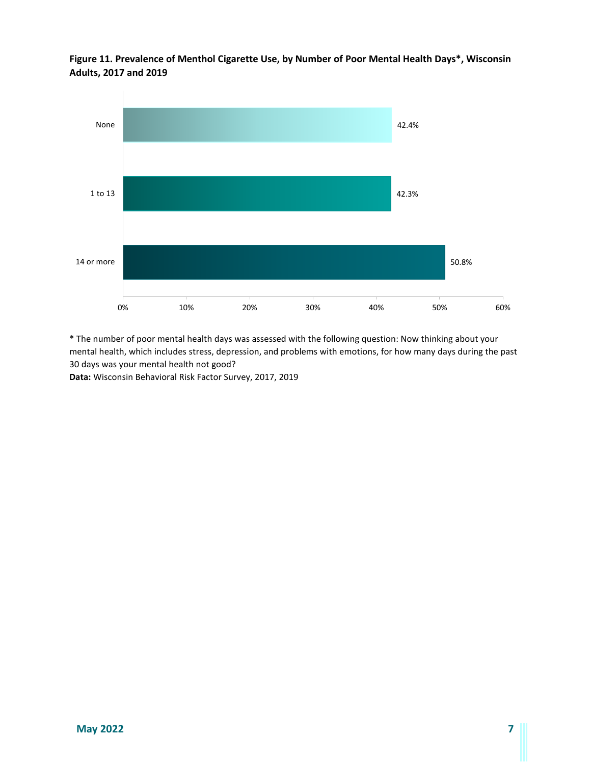**Figure 11. Prevalence of Menthol Cigarette Use, by Number of Poor Mental Health Days\*, Wisconsin Adults, 2017 and 2019**



\* The number of poor mental health days was assessed with the following question: Now thinking about your mental health, which includes stress, depression, and problems with emotions, for how many days during the past 30 days was your mental health not good?